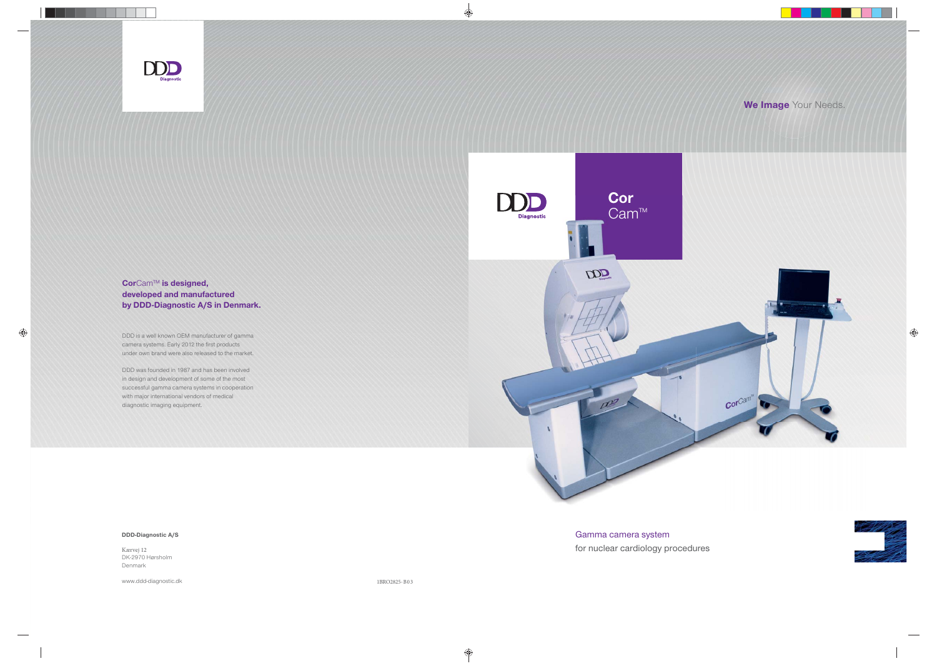Gamma camera system for nuclear cardiology procedures



### DDD-Diagnostic A/S



CorCam™ is designed, developed and manufactured by DDD-Diagnostic A/S in Denmark.

Kærvej 12 DK-2970 Hørsholm Denmark

www.ddd-diagnostic.dk

DDD is a well known OEM manufacturer of gamma camera systems. Early 2012 the first products under own brand were also released to the market.

DDD was founded in 1987 and has been involved in design and development of some of the most successful gamma camera systems in cooperation with major international vendors of medical diagnostic imaging equipment.

1BRO2825-B03

## We Image Your Needs.

**ANGER**